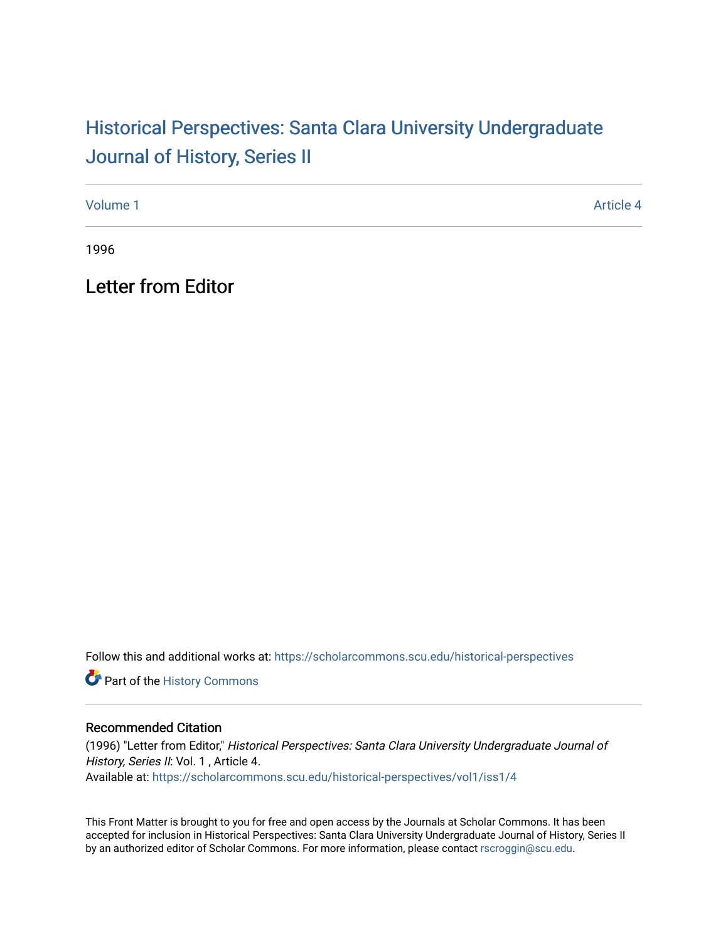## Historical Perspectiv[es: Santa Clara University Under](https://scholarcommons.scu.edu/historical-perspectives)graduate [Journal of History, Series II](https://scholarcommons.scu.edu/historical-perspectives)

[Volume 1](https://scholarcommons.scu.edu/historical-perspectives/vol1) Article 4

1996

Letter from Editor

Follow this and additional works at: [https://scholarcommons.scu.edu/historical-perspectives](https://scholarcommons.scu.edu/historical-perspectives?utm_source=scholarcommons.scu.edu%2Fhistorical-perspectives%2Fvol1%2Fiss1%2F4&utm_medium=PDF&utm_campaign=PDFCoverPages) 

Part of the [History Commons](http://network.bepress.com/hgg/discipline/489?utm_source=scholarcommons.scu.edu%2Fhistorical-perspectives%2Fvol1%2Fiss1%2F4&utm_medium=PDF&utm_campaign=PDFCoverPages) 

## Recommended Citation

(1996) "Letter from Editor," Historical Perspectives: Santa Clara University Undergraduate Journal of History, Series II: Vol. 1, Article 4. Available at: [https://scholarcommons.scu.edu/historical-perspectives/vol1/iss1/4](https://scholarcommons.scu.edu/historical-perspectives/vol1/iss1/4?utm_source=scholarcommons.scu.edu%2Fhistorical-perspectives%2Fvol1%2Fiss1%2F4&utm_medium=PDF&utm_campaign=PDFCoverPages) 

This Front Matter is brought to you for free and open access by the Journals at Scholar Commons. It has been accepted for inclusion in Historical Perspectives: Santa Clara University Undergraduate Journal of History, Series II by an authorized editor of Scholar Commons. For more information, please contact [rscroggin@scu.edu.](mailto:rscroggin@scu.edu)